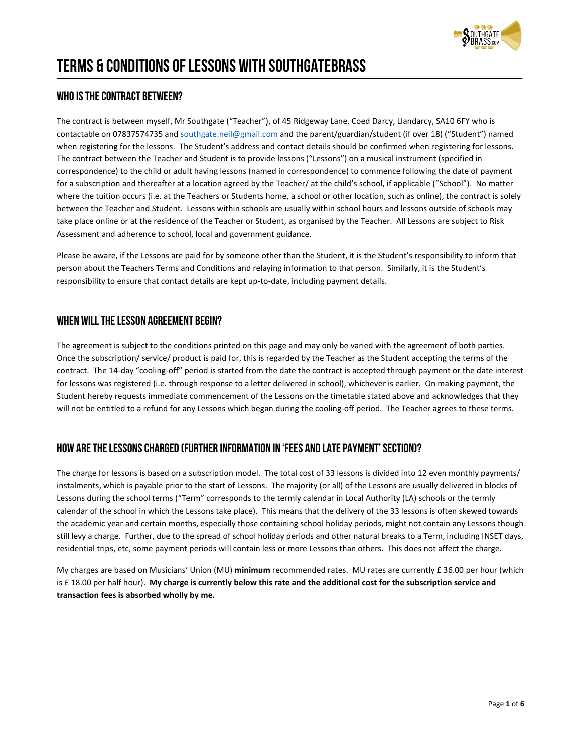

# Terms & Conditions of Lessons with SouthgateBrass

# WHO IS THE CONTRACT BETWEEN?

The contract is between myself, Mr Southgate ("Teacher"), of 45 Ridgeway Lane, Coed Darcy, Llandarcy, SA10 6FY who is contactable on 07837574735 and <u>southgate.neil@gmail.com</u> and the parent/guardian/student (if over 18) ("Student") named contactable on 07837574735 and <u>southgate.neil@gmail.com</u> and the parent/guardian/student (if over 18) ("Student") named<br>when registering for the lessons. The Student's address and contact details should be confirmed when The contract between the Teacher and Student is to provide lessons ("Lessons") on a musical instrument (specified in correspondence) to the child or adult having lessons (named in correspondence) to commence following the date of payment for a subscription and thereafter at a location agreed by the Teacher/ at the child's school, if applicable ("School"). No matter where the tuition occurs (i.e. at the Teachers or Students home, a school or other location, such as online), the contract is solely between the Teacher and Student. Lessons within schools are usually within school hours and lessons outside of schools may take place online or at the residence of the Teacher or Student, as organised by the Teacher. All Lessons are subject to Risk Assessment and adherence to school, local and government guidance. ssons. The Student's address and contact details should be confirmed when registering for lessons.<br>Teacher and Student is to provide lessons ("Lessons") on a musical instrument (specified in<br>ild or adult having lessons (na the tuition occurs (i.e. at the Teachers or Students home, a school or other location, such as online), the contract is solely<br>en the Teacher and Student. Lessons within schools are usually within school hours and lessons is

Please be aware, if the Lessons are paid for by someone other than the Student, it is the Student's responsibility to inform that person about the Teachers Terms and Conditions and relaying information to that person. Similarly, it is the Student's<br>responsibility to ensure that contact details are kept up-to-date, including payment details. responsibility to ensure that contact details are kept up-to-date, including payment details.

# WHEN WILL THE LESSON AGREEMENT BEGIN?

The agreement is subject to the conditions printed on this page and may only be varied with the agreement of both parties. Once the subscription/ service/ product is paid for, this is regarded by the Teacher as the Student accepting the terms of the contract. The 14-day "cooling-off" period is started from the date the contract is accepted through payment or the date interest<br>for lessons was registered (i.e. through response to a letter delivered in school), whichever for lessons was registered (i.e. through response to a letter delivered in school), whichever is earlier. On making payment, the Student hereby requests immediate commencement of the Lessons on the timetable stated above and acknowledges that Student hereby requests immediate commencement of the Lessons on the timetable stated above and acknowledges that they<br>will not be entitled to a refund for any Lessons which began during the cooling-off period. The Teacher

# HOW ARE THE LESSONS CHARGED (FURTHER INFORMATION IN 'FEES AND LATE PAYMENT' SECTION)?

The charge for lessons is based on a subscription model. The total cost of 33 lessons is divided into 12 even monthly payments/ instalments, which is payable prior to the start of Lessons. The majority (or all) of the Lessons are usually delivered in blocks of Lessons during the school terms ("Term" corresponds to the termly calendar in Local Authority (LA) schools or the termly calendar of the school in which the Lessons take place). This means that the delivery of the 33 lessons is often skewed towards Lessons during the school terms ("Term" corresponds to the termly calendar in Local Authority (LA) schools or the termly<br>calendar of the school in which the Lessons take place). This means that the delivery of the 33 lesso still levy a charge. Further, due to the spread of school holiday periods and other natural breaks to a Term, including INSET days, residential trips, etc, some payment periods will contain less or more Lessons than others. This does not affect the charge. essons during the school terms ("Term" corresponds to the termly calendar in Local Authority (LA) schools or<br>alendar of the school in which the Lessons take place). This means that the delivery of the 33 lessons is often<br>h to the spread of school holiday periods and other natural<br>nent periods will contain less or more Lessons than others<br>ians' Union (MU) **minimum** recommended rates. MU rate

My charges are based on Musicians' Union (MU) minimum recommended rates. MU rates are currently £ 36.00 per hour (which is £ 18.00 per half hour). My charge is currently below this rate and the additional cost for the subscription service and transaction fees is absorbed wholly by me.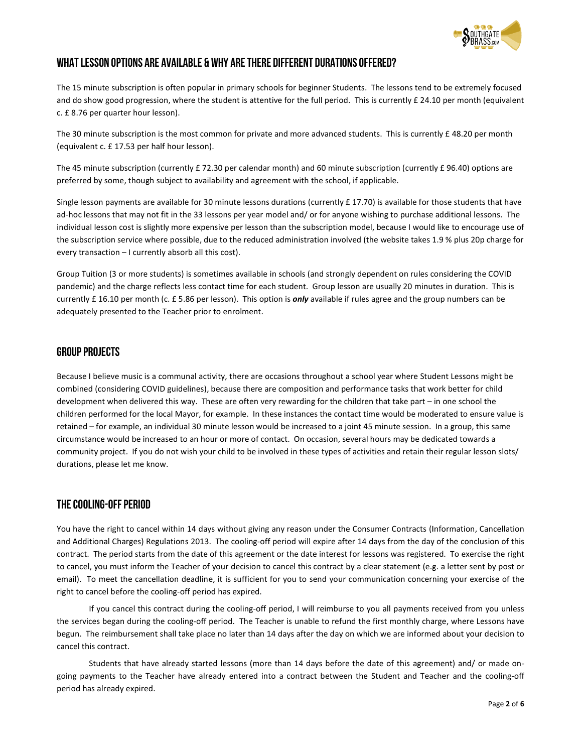

# what lesson options are available & why are there different durations offered?

The 15 minute subscription is often popular in primary schools for beginner Students. The lessons tend to be extremely focused and do show good progression, where the student is attentive for the full period. This is currently £ 24.10 per month (equivalent c. £ 8.76 per quarter hour lesson). The lessons tend to be extremely focused<br>is currently £ 24.10 per month (equivalent<br>nts. This is currently £ 48.20 per month

The 30 minute subscription is the most common for private and more advanced students. This is currently £ 48.20 per month (equivalent c. £ 17.53 per half hour lesson).

The 45 minute subscription (currently £ 72.30 per calendar month) and 60 minute subscription (currently £ 96.40) options are<br>preferred by some, though subject to availability and agreement with the school, if applicable. preferred by some, though subject to availability and agreement with the school, if applicable. The 45 minute subscription (currently £ 72.30 per calendar month) and 60 minute subscription (currently £ 96.40) options are<br>preferred by some, though subject to availability and agreement with the school, if applicable.<br>S

ad-hoc lessons that may not fit in the 33 lessons per year model and/ or for anyone wishing to purchase additional lessons. The<br>individual lesson cost is slightly more expensive per lesson than the subscription model, beca individual lesson cost is slightly more expensive per lesson than the subscription model, because I would like to encourage use of ad-hoc lessons that may not fit in the 33 lessons per year model and/ or for anyone wishing to purchase additional lessons. The<br>individual lesson cost is slightly more expensive per lesson than the subscription model, beca every transaction – I currently absorb all this cost).

Group Tuition (3 or more students) is sometimes available in schools (and strongly dependent on rules considering the COVID pandemic) and the charge reflects less contact time for each student. Group lesson are usually 20 minutes in duration. This is currently £ 16.10 per month (c. £ 5.86 per lesson). This option is *only* available if rules agree and the group numbers can be adequately presented to the Teacher prior to enrolment

## Group projects

adequately presented to the Teacher prior to enrolment.<br>**GROUP PROJECTS**<br>Because I believe music is a communal activity, there are occasions throughout a school year where Student Lessons might be combined (considering COVID guidelines), because there are composition and performance tasks that work better for child combined (considering COVID guidelines), because there are composition and performance tasks that work better for child<br>development when delivered this way. These are often very rewarding for the children that take part – children performed for the local Mayor, for example. In these instances the contact time would be moderated to ensure value is<br>retained – for example, an individual 30 minute lesson would be increased to a joint 45 minute retained – for example, an individual 30 minute lesson would be increased to a joint 45 minute session. In a gr circumstance would be increased to an hour or more of contact. On occasion, several hours may be dedicated towards a circumstance would be increased to an hour or more of contact. On occasion, several hours may be dedicated towards a<br>community project. If you do not wish your child to be involved in these types of activities and retain t durations, please let me know.

# The Cooling-Off Period

You have the right to cancel within 14 days without giving any reason under the Consumer Contracts (Information, Cancellation and Additional Charges) Regulations 2013. The cooling-off period will expire after 14 days from the day of the conclusion of this contract. The period starts from the date of this agreement or the date interest for lessons was registered. To exercise the right<br>to cancel, you must inform the Teacher of your decision to cancel this contract by a clear to cancel, you must inform the Teacher of your decision to cancel this contract by a clear statement (e.g. a letter sent by post or email). To meet the cancellation deadline, it is sufficient for you to send your communication concerning your exercise of the<br>right to cancel before the cooling-off period has expired. right to cancel before the cooling-off period has expired. is y project. If you do not wish your child to be involved in these types of activities and retain their regular lesson slots/<br>ING-OFF PERIOD<br>the right to cancel within 14 days without giving any reason under the Consumer within 14 days without giving any reason under the Consumer Contracts (Information, Cancellation<br>Jlations 2013. The cooling-off period will expire after 14 days from the day of the conclusion of this<br>rom the date of this a our decision to cancel this contract by a clear statement (e.g. a letter sent by post or<br>it is sufficient for you to send your communication concerning your exercise of the

If you cancel this contract during the cooling-off period, I will reimburse to you all payments received from you unless the services began during the cooling-off period. The Teacher is unable to refund the first monthly charge, where Lessons have begun. The reimbursement shall take place no later than 14 days after the day on which we are informed about your decision to cancel this contract. If you cancel this contract during the cooling-off period, I will reimburse to you all payments received from you unless<br>ices began during the cooling-off period. The Teacher is unable to refund the first monthly charge, w

Students that have already started lessons (more than 14 days before the date of this agreement) and/ or made ongoing payments to the Teacher have already entered into a contract between the Student and Teacher and the cooling-off period has already expired. ne services began during the cooling-off period. The Teacher is unable to refund the first monthly charge, where Lessons have<br>egun. The reimbursement shall take place no later than 14 days after the day on which we are inf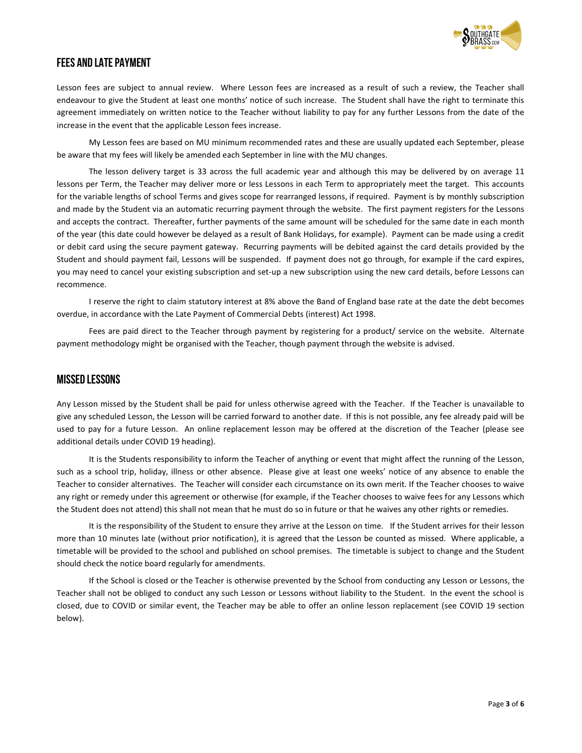

# Fees and Late Payment

THE STAND LATE PAYMENT<br>Lesson fees are subject to annual review. Where Lesson fees are increased as a result of such a review, the Teacher shall endeavour to give the Student at least one months' notice of such increase. The Student shall have the right to terminate this<br>agreement immediately on written notice to the Teacher without liability to pay for any further agreement immediately on written notice to the Teacher without liability to pay for any further Lessons from the date of the increase in the event that the applicable Lesson fees increase.

 My Lesson fees are based on MU minimum recommended rates and these are usually updated each September, please be aware that my fees will likely be amended each September in line with the MU changes. the event that the applicable Lesson fees increase.<br>
y Lesson fees are based on MU minimum recommended rates and these are usually updated each September, please<br>
hat my fees will likely be amended each September in line w

The lesson delivery target is 33 across the full academic year and although this may be delivered by on average 11 lessons per Term, the Teacher may deliver more or less Lessons in each Term to appropriately meet the target. This accounts for the variable lengths of school Terms and gives scope for rearranged lessons, if required. Payment is by monthly subscription and made by the Student via an automatic recurring payment through the website. The first payment registers for the Lessons and accepts the contract. Thereafter, further payments of the same amount will be scheduled for the same date in each month and accepts the contract. Thereafter, further payments of the same amount will be scheduled for the same date in each month<br>of the year (this date could however be delayed as a result of Bank Holidays, for example). Paymen or debit card using the secure payment gateway. Recurring payments will be debited against the card details provided by the or debit card using the secure payment gateway. Recurring payments will be debited against the card details provided by the<br>Student and should payment fail, Lessons will be suspended. If payment does not go through, for ex you may need to cancel your existing subscription and set-up a new subscription using the new card details, before Lessons can recommence. nt immediately on written notice to the Teacher without liability to pay for any further Lessons from the date of the<br>in the event that the applicable Lesson fees increase.<br>My Lesson fees are based on MU minimum recommende

I reserve the right to claim statutory interest at 8% above the Band of England base rate at the date the debt becomes overdue, in accordance with the Late Payment of Commercial Debts (interest) Act 1998.

in accordance with the Late Payment of Commercial Debts (interest) Act 1998.<br>Fees are paid direct to the Teacher through payment by registering for a product/ service on the website. Alternate payment methodology might be organised with the Teacher, though payment through the website is advised.

#### Missed Lessons

Any Lesson missed by the Student shall be paid for unless otherwise agreed with the Teacher. If the Teacher is unavailable to Any Lesson missed by the Student shall be paid for unless otherwise agreed with the Teacher. If the Teacher is unavailable to<br>give any scheduled Lesson, the Lesson will be carried forward to another date. If this is not po used to pay for a future Lesson. An online replacement lesson may be offered at the discretion of the Teacher (please see additional details under COVID 19 heading). pay for a future Lesson. An online replacement lesson may be offered at the discretion of the Teacher (please see<br>al details under COVID 19 heading).<br>It is the Students responsibility to inform the Teacher of anything or e I reserve the right to claim statutory interest at 8% above the Band of England base rate at the date the debt becomes<br>
due, in accordance with the Late Payment of Commercial Debts (interest) Act 1998.<br>
Fees are paid direc

such as a school trip, holiday, illness or other absence. Please give at least one weeks' notice of any absence to enable the Teacher to consider alternatives. The Teacher will consider each circumstance on its own merit. If the Teacher chooses to waive any right or remedy under this agreement or otherwise (for example, if the Teacher chooses to waive fees for any Lessons which the Student does not attend) this shall not mean that he must do so in future or that he waives any other rights or remedies. used to pay for a future Lesson. An online replacement lesson may be offered at the discretion of the Teacher (please see<br>additional details under COVID 19 heading).<br>It is the Students responsibility to inform the Teacher

It is the responsibility of the Student to ensure they arrive at the Lesson on time. If the Student arrives for their lesson more than 10 minutes late (without prior notification), it is agreed that the Lesson be counted as missed. Where applicable, a<br>timetable will be provided to the school and published on school premises. The timetable is sub timetable will be provided to the school and published on school premises. The timetable is subject to change and the Student should check the notice board regularly for amendments.

If the School is closed or the Teacher is otherwise prevented by the School from conducting any Lesson or Lessons, the<br>shall not be obliged to conduct any such Lesson or Lessons without liability to the Student. In the eve Teacher shall not be obliged to conduct any such Lesson or Lessons without liability to the Student. In the event the school is Teacher shall not be obliged to conduct any such Lesson or Lessons without liability to the Student. In the event the school is<br>closed, due to COVID or similar event, the Teacher may be able to offer an online lesson repla below).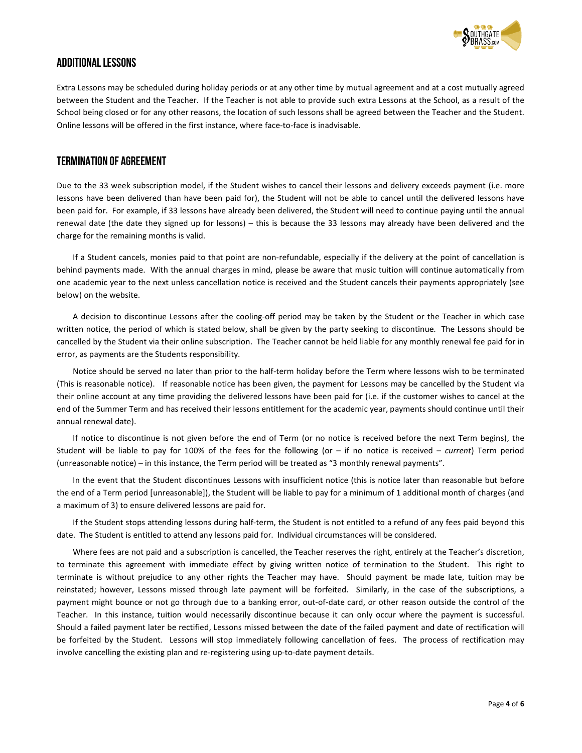

# Additional Lessons

Extra Lessons may be scheduled during holiday periods or at any other time by mutual agreement and at a cost mutually agreed between the Student and the Teacher. If the Teacher is not able to provide such extra School being closed or for any other reasons, the location of such lessons shall be agreed between the Teacher and the Student.<br>Online lessons will be offered in the first instance, where face-to-face is inadvisable. Online lessons will be offered in the first instance, where face-to-face is inadvisable. **EXTRONAL LESSONS**<br>Extra Lessons may be scheduled during holiday periods or at any other time by mutual agreement and at a cost mutually agreed<br>Detween the Student and the Teacher. If the Teacher is not able to provide suc Lessons may be scheduled during holiday periods or at any other time by mutual agreement and at a cost mutually agreed<br>een the Student and the Teacher. If the Teacher is not able to provide such extra Lessons at the School

### Termination of Agreement

Due to the 33 week subscription model, if the Student wishes to cancel their lessons and delivery exceeds payment (i.e. more lessons have been delivered than have been paid for), the Student will not be able to cancel until the delivered lessons have<br>been paid for. For example, if 33 lessons have already been delivered, the Student will need to been paid for. For example, if 33 lessons have already been delivered, the Student will need to continue paying until the annual been paid for. For example, if 33 lessons have already been delivered, the Student will need to continue paying until the annual<br>renewal date (the date they signed up for lessons) – this is because the 33 lessons may alrea charge for the remaining months is valid. because the 33 lessons may already have been delivered and the<br>refundable, especially if the delivery at the point of cancellation is

If a Student cancels, monies paid to that point are non-refundable, especially if the delivery at the point of cancellation is behind payments made. With the annual charges in mind, please be aware that music tuition will continue automatically from one academic year to the next unless cancellation notice is received and the Student cancels their payments appropriately (se below) on the website. behind payments made. With the annual charges in mind, please be aware that music tuition will continue automatically from<br>one academic year to the next unless cancellation notice is received and the Student cancels their year to the next unless cancellation notice is received and the Student cancels their payments appropriately (see

A decision to discontinue Lessons after the cooling-off period may be taken by the Student or the Teacher in which case A decision to discontinue Lessons after the cooling-off period may be taken by the Student or the Teacher in which case<br>written notice, the period of which is stated below, shall be given by the party seeking to discontinu cancelled by the Student via their online subscription. The Teacher cannot be held liable for any monthly renewal fee paid for in error, as payments are the Students responsibility. ten notice, the period of which is stated below, shall be given by the party seeking to discontinue. The Lessons should be elled by the Student via their online subscription. The Teacher cannot be held liable for any month

(This is reasonable notice). If reasonable notice has been given, the payment for Lessons may be cancelled by the Student v their online account at any time providing the delivered lessons have been paid for (i.e. if the customer wishes to cancel at the end of the Summer Term and has received their lessons entitlement for the academic year, payments should continue until their annual renewal date). (This is reasonable notice). If reasonable notice has been given, the payment for Lessons may be cancelled by the Student<br>their online account at any time providing the delivered lessons have been paid for (i.e. if the cu Illed by the Student via their online subscription. The Teacher cannot be held liable for any monthly renewal fee paid for in<br>as payments are the Students responsibility.<br>Jotice should be served no later than prior to the e account at any time providing the delivered lessons have been paid for (i.e. if the customer wishes to cancel at the<br>Summer Term and has received their lessons entitlement for the academic year, payments should continue

If notice to discontinue is not given before the end of Term (or no notice is received before the next Term begins), the Student will be liable to pay for 100% of the fees for the following (or  $-$  if no notice is received  $-$  current) Term period (unreasonable notice) – in this instance, the Term period will be treated as "3 monthly renewal payments".

In the event that the Student discontinues Lessons with insufficient notice (this is notice later than reasonable but before the end of a Term period [unreasonable]), the Student will be liable to pay for a minimum of 1 additional month of charges (and a maximum of 3) to ensure delivered lessons are paid for. In the event that the Student discontinues Lessons with insufficient notice (this is notice later than reasonable but before<br>ne end of a Term period [unreasonable]), the Student will be liable to pay for a minimum of 1 add easonable notice) – in this instance, the Term period will be treated as "3 monthly renewal payments".<br>In the event that the Student discontinues Lessons with insufficient notice (this is notice later than reasonable but b

date. The Student is entitled to attend any lessons paid for. Individual circumstances will be considered.

Where fees are not paid and a subscription is cancelled, the Teacher reserves the right, entirely at the Teacher's discretion, to terminate this agreement with immediate effect by giving written notice of termination to the Student. This right to terminate is without prejudice to any other rights the Teacher may have. Should payment be made late, tuition may be reinstated; however, Lessons missed through late payment will be forfeited. Similarly, in the case of the subscriptions, a payment might bounce or not go through due to a banking error, out-of-date card, or other reason outside the control of the Teacher. In this instance, tuition would necessarily discontinue because it can only occur where the payment is successful. Should a failed payment later be rectified, Lessons missed between the date of the failed payment and date of rectification will be forfeited by the Student. Lessons will stop immediately following cancellation of fees. The process of rectification may involve cancelling the existing plan and re-registering using up-to-date payment details. date. The Student is entitled to attend any lessons paid for. Individual circumstances will be considered.<br>Where fees are not paid and a subscription is cancelled, the Teacher reserves the right, entirely at the Teacher's inate this agreement with immediate effect by giving written notice of termination to the Student. This right to<br>the is without prejudice to any other rights the Teacher may have. Should payment be made late, tuition may b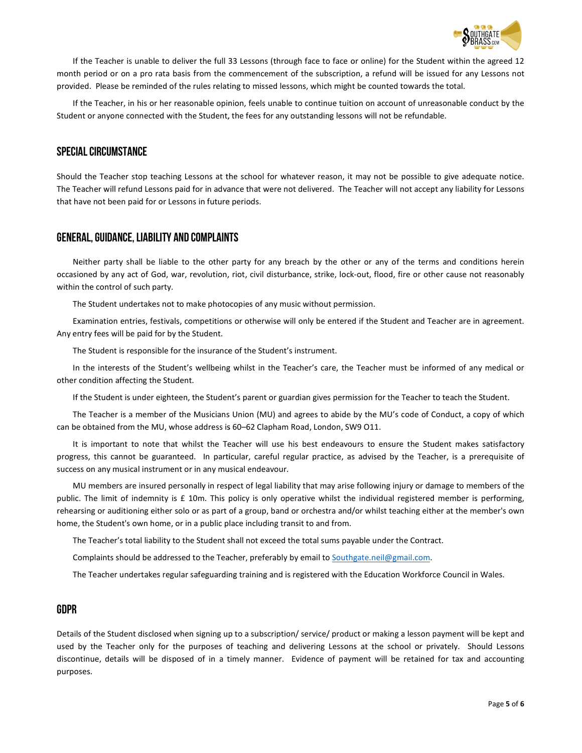

If the Teacher is unable to deliver the full 33 Lessons (through face to face or online) for the Student within the agreed 12 month period or on a pro rata basis from the commencement of the subscription, a refund will be issued for any Lessons not provided. Please be reminded of the rules relating to missed lessons, which might be counted towards the total. If the Teacher is unable to deliver the full 33 Lessons (through face to face or online) for the Student within the agreed 12<br>month period or on a pro rata basis from the commencement of the subscription, a refund will be Teacher is unable to deliver the full 33 Lessons (through face to face or online) for the Student within the agreed 12<br>oid or on a pro rata basis from the commencement of the subscription, a refund will be issued for any L

If the Teacher, in his or her reasonable opinion, feels unable to continue tuition on account of unreasonable conduct by the Student or anyone connected with the Student, the fees for any outstanding lessons will not be refundable.

### Special Circumstance

Student or anyone connected with the Student, the fees for any outstanding lessons will not be refundable.<br>**SPECIAL CIRCUMSTANCE**<br>Should the Teacher stop teaching Lessons at the school for whatever reason, it may not be po The Teacher will refund Lessons paid for in advance that were not delivered. The Teacher will not accept any liability for L Teacher that have not been paid for or Lessons in future periods.

# GENERAL, GUIDANCE, LIABILITY AND COMPLAINTS

Neither party shall be liable to the other party for any breach by the other or any of the terms and conditions herein Neither party shall be liable to the other party for any breach by the other or any of the terms and conditions herein<br>occasioned by any act of God, war, revolution, riot, civil disturbance, strike, lock-out, flood, fire o within the control of such party.

The Student undertakes not to make photocopies of any music without permission.

Examination entries, festivals, competitions or otherwise will only be entered if the Student and Teacher are in agreement. Any entry fees will be paid for by the Student. ndertakes not to make photocopies of any music without permission.<br>htries, festivals, competitions or otherwise will only be entered if the Student and Teache<br>be paid for by the Student.<br>responsible for the insurance of th

The Student is responsible for the insurance of the Student's instrument.

In the interests of the Student's wellbeing whilst in the Teacher's care, the Teacher must be informed of any medical or other condition affecting the Student. ie interests of the Student's wellbeing whilst in the Teacher's care, the Teacher must be informed of any medical or<br>ndition affecting the Student.<br>e Student is under eighteen, the Student's parent or guardian gives permis

If the Student is under eighteen, the Student's parent or guardian gives permission for the Teacher to teach the Student.

The Teacher is a member of the Musicians Union (MU) and agrees to abide by the MU's code of Conduct, a copy of which can be obtained from the MU, whose address is 60-62 Clapham Road, London, SW9 011.

It is important to note that whilst the Teacher will use his best endeavours to ensure the Student makes satisfactory progress, this cannot be guaranteed. In particular, careful regular practice, as advised by the Teacher, is a prerequisite of success on any musical instrument or in any musical endeavour. It is important to note that whilst the Teacher will use his best endeavours to ensure the Student makes satisfactory<br>ress, this cannot be guaranteed. In particular, careful regular practice, as advised by the Teacher, is

public. The limit of indemnity is £ 10m. This policy is only operative whilst the individual registered member is performing, public. The limit of indemnity is £ 10m. This policy is only operative whilst the individual registered member is performing,<br>rehearsing or auditioning either solo or as part of a group, band or orchestra and/or whilst tea home, the Student's own home, or in a public place including transit to and from. progress, this cannot be guaranteed. In particular, careful regular practice, as advised by the Teacher, is a prerequisite of<br>success on any musical instrument or in any musical endeavour.<br>MU members are insured personally

The Teacher's total liability to the Student shall not exceed the total sums payable under the Contract.

Complaints should be addressed to the Teacher, preferably by email to Southgate.neil@gmail.com.

The Teacher undertakes regular safeguarding training and is registered with the Education Workforce Council in Wales.

# GDPR

Details of the Student disclosed when signing up to a subscription/ service/ product or making a lesson payment will be kept and used by the Teacher only for the purposes of teaching and delivering Lessons at the school or privately. Should Lessons discontinue, details will be disposed of in a timely manner. Evidence of payment will be retained for tax and accounting purposes. Teacher only for the purposes of teaching and delivering Lessons at the school or privately. Should Lessons<br>details will be disposed of in a timely manner. Evidence of payment will be retained for tax and accounting<br>Page 5 liability to the Student shall not exceed the total sums payable under the Contract.<br>De addressed to the Teacher, preferably by email to <u>Southgate.neil@gmail.com</u>.<br>akes regular safeguarding training and is registered with